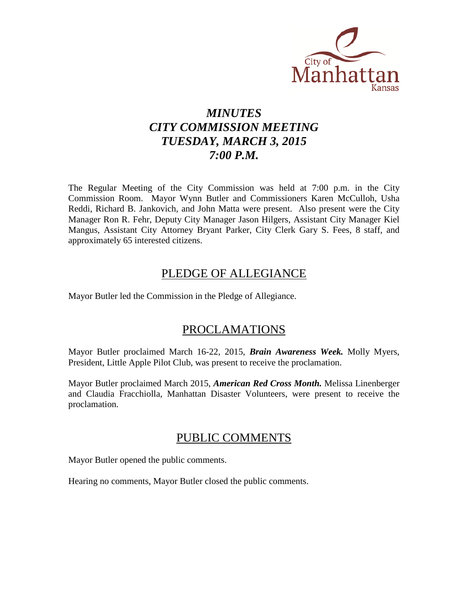

# *MINUTES CITY COMMISSION MEETING TUESDAY, MARCH 3, 2015 7:00 P.M.*

The Regular Meeting of the City Commission was held at 7:00 p.m. in the City Commission Room. Mayor Wynn Butler and Commissioners Karen McCulloh, Usha Reddi, Richard B. Jankovich, and John Matta were present. Also present were the City Manager Ron R. Fehr, Deputy City Manager Jason Hilgers, Assistant City Manager Kiel Mangus, Assistant City Attorney Bryant Parker, City Clerk Gary S. Fees, 8 staff, and approximately 65 interested citizens.

# PLEDGE OF ALLEGIANCE

Mayor Butler led the Commission in the Pledge of Allegiance.

# PROCLAMATIONS

Mayor Butler proclaimed March 16-22, 2015, *Brain Awareness Week.* Molly Myers, President, Little Apple Pilot Club, was present to receive the proclamation.

Mayor Butler proclaimed March 2015, *American Red Cross Month.* Melissa Linenberger and Claudia Fracchiolla, Manhattan Disaster Volunteers, were present to receive the proclamation.

# PUBLIC COMMENTS

Mayor Butler opened the public comments.

Hearing no comments, Mayor Butler closed the public comments.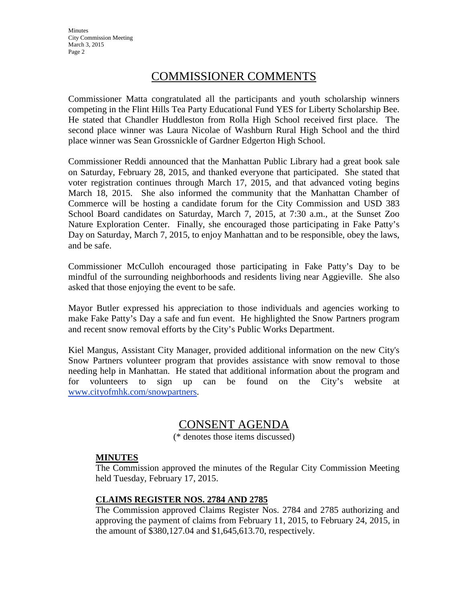**Minutes** City Commission Meeting March 3, 2015 Page 2

# COMMISSIONER COMMENTS

Commissioner Matta congratulated all the participants and youth scholarship winners competing in the Flint Hills Tea Party Educational Fund YES for Liberty Scholarship Bee. He stated that Chandler Huddleston from Rolla High School received first place. The second place winner was Laura Nicolae of Washburn Rural High School and the third place winner was Sean Grossnickle of Gardner Edgerton High School.

Commissioner Reddi announced that the Manhattan Public Library had a great book sale on Saturday, February 28, 2015, and thanked everyone that participated. She stated that voter registration continues through March 17, 2015, and that advanced voting begins March 18, 2015. She also informed the community that the Manhattan Chamber of Commerce will be hosting a candidate forum for the City Commission and USD 383 School Board candidates on Saturday, March 7, 2015, at 7:30 a.m., at the Sunset Zoo Nature Exploration Center. Finally, she encouraged those participating in Fake Patty's Day on Saturday, March 7, 2015, to enjoy Manhattan and to be responsible, obey the laws, and be safe.

Commissioner McCulloh encouraged those participating in Fake Patty's Day to be mindful of the surrounding neighborhoods and residents living near Aggieville. She also asked that those enjoying the event to be safe.

Mayor Butler expressed his appreciation to those individuals and agencies working to make Fake Patty's Day a safe and fun event. He highlighted the Snow Partners program and recent snow removal efforts by the City's Public Works Department.

Kiel Mangus, Assistant City Manager, provided additional information on the new City's Snow Partners volunteer program that provides assistance with snow removal to those needing help in Manhattan. He stated that additional information about the program and for volunteers to sign up can be found on the City's website at [www.cityofmhk.com/snowpartners.](http://www.cityofmhk.com/snowpartners)

# CONSENT AGENDA

(\* denotes those items discussed)

# **MINUTES**

The Commission approved the minutes of the Regular City Commission Meeting held Tuesday, February 17, 2015.

# **CLAIMS REGISTER NOS. 2784 AND 2785**

The Commission approved Claims Register Nos. 2784 and 2785 authorizing and approving the payment of claims from February 11, 2015, to February 24, 2015, in the amount of \$380,127.04 and \$1,645,613.70, respectively.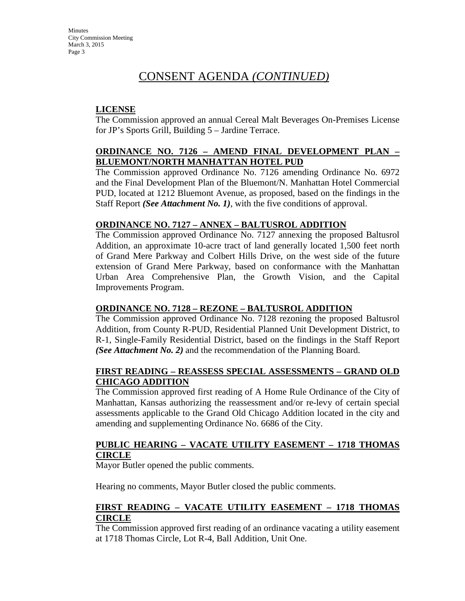# CONSENT AGENDA *(CONTINUED)*

# **LICENSE**

The Commission approved an annual Cereal Malt Beverages On-Premises License for JP's Sports Grill, Building 5 – Jardine Terrace.

### **ORDINANCE NO. 7126 – AMEND FINAL DEVELOPMENT PLAN – BLUEMONT/NORTH MANHATTAN HOTEL PUD**

The Commission approved Ordinance No. 7126 amending Ordinance No. 6972 and the Final Development Plan of the Bluemont/N. Manhattan Hotel Commercial PUD, located at 1212 Bluemont Avenue, as proposed, based on the findings in the Staff Report *(See Attachment No. 1)*, with the five conditions of approval.

### **ORDINANCE NO. 7127 – ANNEX – BALTUSROL ADDITION**

The Commission approved Ordinance No. 7127 annexing the proposed Baltusrol Addition, an approximate 10-acre tract of land generally located 1,500 feet north of Grand Mere Parkway and Colbert Hills Drive, on the west side of the future extension of Grand Mere Parkway, based on conformance with the Manhattan Urban Area Comprehensive Plan, the Growth Vision, and the Capital Improvements Program.

### **ORDINANCE NO. 7128 – REZONE – BALTUSROL ADDITION**

The Commission approved Ordinance No. 7128 rezoning the proposed Baltusrol Addition, from County R-PUD, Residential Planned Unit Development District, to R-1, Single-Family Residential District, based on the findings in the Staff Report *(See Attachment No. 2)* and the recommendation of the Planning Board.

### **FIRST READING – REASSESS SPECIAL ASSESSMENTS – GRAND OLD CHICAGO ADDITION**

The Commission approved first reading of A Home Rule Ordinance of the City of Manhattan, Kansas authorizing the reassessment and/or re-levy of certain special assessments applicable to the Grand Old Chicago Addition located in the city and amending and supplementing Ordinance No. 6686 of the City.

# **PUBLIC HEARING – VACATE UTILITY EASEMENT – 1718 THOMAS CIRCLE**

Mayor Butler opened the public comments.

Hearing no comments, Mayor Butler closed the public comments.

# **FIRST READING – VACATE UTILITY EASEMENT – 1718 THOMAS CIRCLE**

The Commission approved first reading of an ordinance vacating a utility easement at 1718 Thomas Circle, Lot R-4, Ball Addition, Unit One.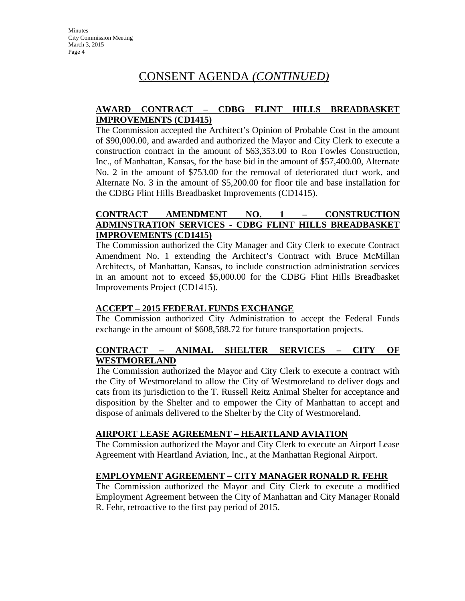# CONSENT AGENDA *(CONTINUED)*

# **AWARD CONTRACT – CDBG FLINT HILLS BREADBASKET IMPROVEMENTS (CD1415)**

The Commission accepted the Architect's Opinion of Probable Cost in the amount of \$90,000.00, and awarded and authorized the Mayor and City Clerk to execute a construction contract in the amount of \$63,353.00 to Ron Fowles Construction, Inc., of Manhattan, Kansas, for the base bid in the amount of \$57,400.00, Alternate No. 2 in the amount of \$753.00 for the removal of deteriorated duct work, and Alternate No. 3 in the amount of \$5,200.00 for floor tile and base installation for the CDBG Flint Hills Breadbasket Improvements (CD1415).

### **CONTRACT AMENDMENT NO. 1 – CONSTRUCTION ADMINSTRATION SERVICES - CDBG FLINT HILLS BREADBASKET IMPROVEMENTS (CD1415)**

The Commission authorized the City Manager and City Clerk to execute Contract Amendment No. 1 extending the Architect's Contract with Bruce McMillan Architects, of Manhattan, Kansas, to include construction administration services in an amount not to exceed \$5,000.00 for the CDBG Flint Hills Breadbasket Improvements Project (CD1415).

# **ACCEPT – 2015 FEDERAL FUNDS EXCHANGE**

The Commission authorized City Administration to accept the Federal Funds exchange in the amount of \$608,588.72 for future transportation projects.

# **CONTRACT – ANIMAL SHELTER SERVICES – CITY OF WESTMORELAND**

The Commission authorized the Mayor and City Clerk to execute a contract with the City of Westmoreland to allow the City of Westmoreland to deliver dogs and cats from its jurisdiction to the T. Russell Reitz Animal Shelter for acceptance and disposition by the Shelter and to empower the City of Manhattan to accept and dispose of animals delivered to the Shelter by the City of Westmoreland.

### **AIRPORT LEASE AGREEMENT – HEARTLAND AVIATION**

The Commission authorized the Mayor and City Clerk to execute an Airport Lease Agreement with Heartland Aviation, Inc., at the Manhattan Regional Airport.

# **EMPLOYMENT AGREEMENT – CITY MANAGER RONALD R. FEHR**

The Commission authorized the Mayor and City Clerk to execute a modified Employment Agreement between the City of Manhattan and City Manager Ronald R. Fehr, retroactive to the first pay period of 2015.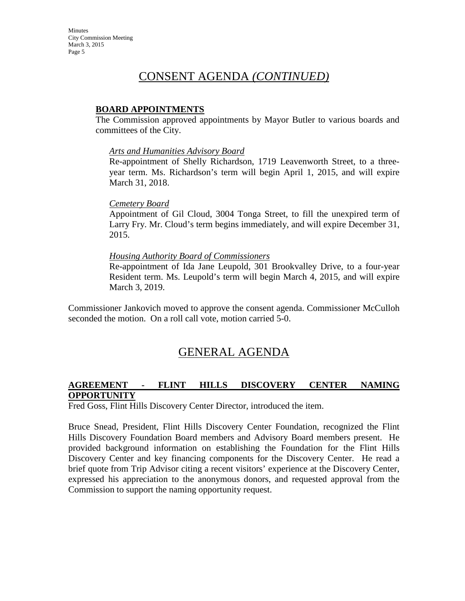# CONSENT AGENDA *(CONTINUED)*

### **BOARD APPOINTMENTS**

The Commission approved appointments by Mayor Butler to various boards and committees of the City.

### *Arts and Humanities Advisory Board*

Re-appointment of Shelly Richardson, 1719 Leavenworth Street, to a threeyear term. Ms. Richardson's term will begin April 1, 2015, and will expire March 31, 2018.

### *Cemetery Board*

Appointment of Gil Cloud, 3004 Tonga Street, to fill the unexpired term of Larry Fry. Mr. Cloud's term begins immediately, and will expire December 31, 2015.

### *Housing Authority Board of Commissioners*

Re-appointment of Ida Jane Leupold, 301 Brookvalley Drive, to a four-year Resident term. Ms. Leupold's term will begin March 4, 2015, and will expire March 3, 2019.

Commissioner Jankovich moved to approve the consent agenda. Commissioner McCulloh seconded the motion. On a roll call vote, motion carried 5-0.

# GENERAL AGENDA

### **AGREEMENT - FLINT HILLS DISCOVERY CENTER NAMING OPPORTUNITY**

Fred Goss, Flint Hills Discovery Center Director, introduced the item.

Bruce Snead, President, Flint Hills Discovery Center Foundation, recognized the Flint Hills Discovery Foundation Board members and Advisory Board members present. He provided background information on establishing the Foundation for the Flint Hills Discovery Center and key financing components for the Discovery Center. He read a brief quote from Trip Advisor citing a recent visitors' experience at the Discovery Center, expressed his appreciation to the anonymous donors, and requested approval from the Commission to support the naming opportunity request.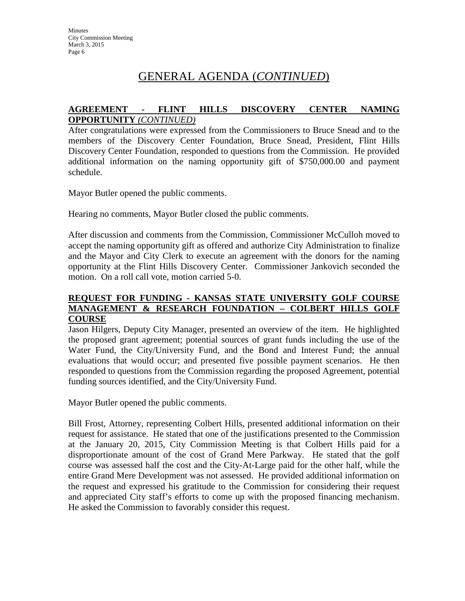### **AGREEMENT - FLINT HILLS DISCOVERY CENTER NAMING OPPORTUNITY** *(CONTINUED)*

After congratulations were expressed from the Commissioners to Bruce Snead and to the members of the Discovery Center Foundation, Bruce Snead, President, Flint Hills Discovery Center Foundation, responded to questions from the Commission. He provided additional information on the naming opportunity gift of \$750,000.00 and payment schedule.

Mayor Butler opened the public comments.

Hearing no comments, Mayor Butler closed the public comments.

After discussion and comments from the Commission, Commissioner McCulloh moved to accept the naming opportunity gift as offered and authorize City Administration to finalize and the Mayor and City Clerk to execute an agreement with the donors for the naming opportunity at the Flint Hills Discovery Center. Commissioner Jankovich seconded the motion. On a roll call vote, motion carried 5-0.

### **REQUEST FOR FUNDING - KANSAS STATE UNIVERSITY GOLF COURSE MANAGEMENT & RESEARCH FOUNDATION – COLBERT HILLS GOLF COURSE**

Jason Hilgers, Deputy City Manager, presented an overview of the item. He highlighted the proposed grant agreement; potential sources of grant funds including the use of the Water Fund, the City/University Fund, and the Bond and Interest Fund; the annual evaluations that would occur; and presented five possible payment scenarios. He then responded to questions from the Commission regarding the proposed Agreement, potential funding sources identified, and the City/University Fund.

Mayor Butler opened the public comments.

Bill Frost, Attorney, representing Colbert Hills, presented additional information on their request for assistance. He stated that one of the justifications presented to the Commission at the January 20, 2015, City Commission Meeting is that Colbert Hills paid for a disproportionate amount of the cost of Grand Mere Parkway. He stated that the golf course was assessed half the cost and the City-At-Large paid for the other half, while the entire Grand Mere Development was not assessed. He provided additional information on the request and expressed his gratitude to the Commission for considering their request and appreciated City staff's efforts to come up with the proposed financing mechanism. He asked the Commission to favorably consider this request.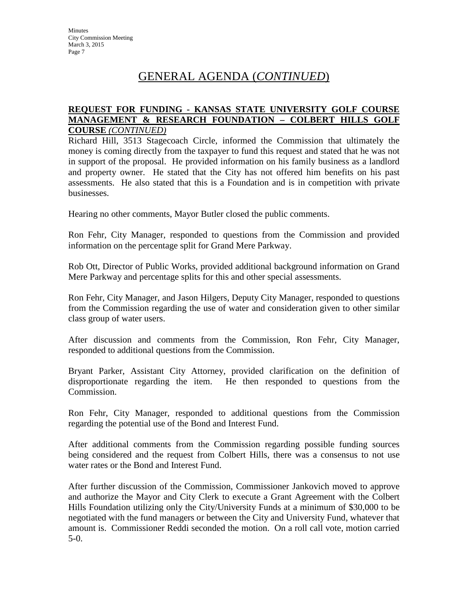### **REQUEST FOR FUNDING - KANSAS STATE UNIVERSITY GOLF COURSE MANAGEMENT & RESEARCH FOUNDATION – COLBERT HILLS GOLF COURSE** *(CONTINUED)*

Richard Hill, 3513 Stagecoach Circle, informed the Commission that ultimately the money is coming directly from the taxpayer to fund this request and stated that he was not in support of the proposal. He provided information on his family business as a landlord and property owner. He stated that the City has not offered him benefits on his past assessments. He also stated that this is a Foundation and is in competition with private businesses.

Hearing no other comments, Mayor Butler closed the public comments.

Ron Fehr, City Manager, responded to questions from the Commission and provided information on the percentage split for Grand Mere Parkway.

Rob Ott, Director of Public Works, provided additional background information on Grand Mere Parkway and percentage splits for this and other special assessments.

Ron Fehr, City Manager, and Jason Hilgers, Deputy City Manager, responded to questions from the Commission regarding the use of water and consideration given to other similar class group of water users.

After discussion and comments from the Commission, Ron Fehr, City Manager, responded to additional questions from the Commission.

Bryant Parker, Assistant City Attorney, provided clarification on the definition of disproportionate regarding the item. He then responded to questions from the Commission.

Ron Fehr, City Manager, responded to additional questions from the Commission regarding the potential use of the Bond and Interest Fund.

After additional comments from the Commission regarding possible funding sources being considered and the request from Colbert Hills, there was a consensus to not use water rates or the Bond and Interest Fund.

After further discussion of the Commission, Commissioner Jankovich moved to approve and authorize the Mayor and City Clerk to execute a Grant Agreement with the Colbert Hills Foundation utilizing only the City/University Funds at a minimum of \$30,000 to be negotiated with the fund managers or between the City and University Fund, whatever that amount is. Commissioner Reddi seconded the motion. On a roll call vote, motion carried 5-0.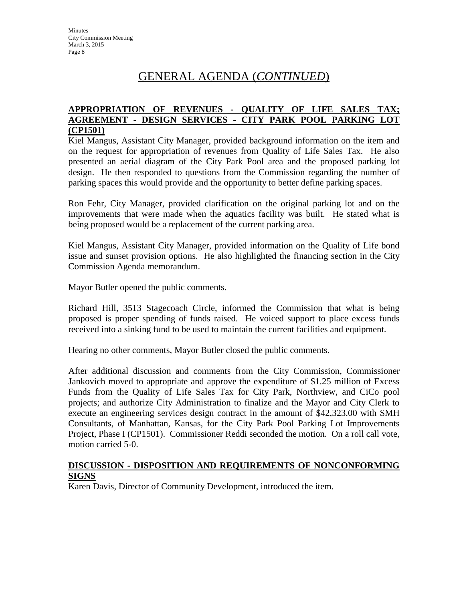### **APPROPRIATION OF REVENUES - QUALITY OF LIFE SALES TAX; AGREEMENT - DESIGN SERVICES - CITY PARK POOL PARKING LOT (CP1501)**

Kiel Mangus, Assistant City Manager, provided background information on the item and on the request for appropriation of revenues from Quality of Life Sales Tax. He also presented an aerial diagram of the City Park Pool area and the proposed parking lot design. He then responded to questions from the Commission regarding the number of parking spaces this would provide and the opportunity to better define parking spaces.

Ron Fehr, City Manager, provided clarification on the original parking lot and on the improvements that were made when the aquatics facility was built. He stated what is being proposed would be a replacement of the current parking area.

Kiel Mangus, Assistant City Manager, provided information on the Quality of Life bond issue and sunset provision options. He also highlighted the financing section in the City Commission Agenda memorandum.

Mayor Butler opened the public comments.

Richard Hill, 3513 Stagecoach Circle, informed the Commission that what is being proposed is proper spending of funds raised. He voiced support to place excess funds received into a sinking fund to be used to maintain the current facilities and equipment.

Hearing no other comments, Mayor Butler closed the public comments.

After additional discussion and comments from the City Commission, Commissioner Jankovich moved to appropriate and approve the expenditure of \$1.25 million of Excess Funds from the Quality of Life Sales Tax for City Park, Northview, and CiCo pool projects; and authorize City Administration to finalize and the Mayor and City Clerk to execute an engineering services design contract in the amount of \$42,323.00 with SMH Consultants, of Manhattan, Kansas, for the City Park Pool Parking Lot Improvements Project, Phase I (CP1501). Commissioner Reddi seconded the motion. On a roll call vote, motion carried 5-0.

### **DISCUSSION - DISPOSITION AND REQUIREMENTS OF NONCONFORMING SIGNS**

Karen Davis, Director of Community Development, introduced the item.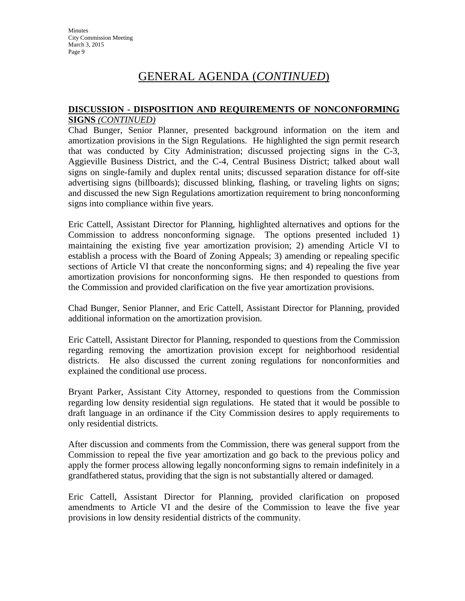### **DISCUSSION - DISPOSITION AND REQUIREMENTS OF NONCONFORMING SIGNS** *(CONTINUED)*

Chad Bunger, Senior Planner, presented background information on the item and amortization provisions in the Sign Regulations. He highlighted the sign permit research that was conducted by City Administration; discussed projecting signs in the C-3, Aggieville Business District, and the C-4, Central Business District; talked about wall signs on single-family and duplex rental units; discussed separation distance for off-site advertising signs (billboards); discussed blinking, flashing, or traveling lights on signs; and discussed the new Sign Regulations amortization requirement to bring nonconforming signs into compliance within five years.

Eric Cattell, Assistant Director for Planning, highlighted alternatives and options for the Commission to address nonconforming signage. The options presented included 1) maintaining the existing five year amortization provision; 2) amending Article VI to establish a process with the Board of Zoning Appeals; 3) amending or repealing specific sections of Article VI that create the nonconforming signs; and 4) repealing the five year amortization provisions for nonconforming signs. He then responded to questions from the Commission and provided clarification on the five year amortization provisions.

Chad Bunger, Senior Planner, and Eric Cattell, Assistant Director for Planning, provided additional information on the amortization provision.

Eric Cattell, Assistant Director for Planning, responded to questions from the Commission regarding removing the amortization provision except for neighborhood residential districts. He also discussed the current zoning regulations for nonconformities and explained the conditional use process.

Bryant Parker, Assistant City Attorney, responded to questions from the Commission regarding low density residential sign regulations. He stated that it would be possible to draft language in an ordinance if the City Commission desires to apply requirements to only residential districts.

After discussion and comments from the Commission, there was general support from the Commission to repeal the five year amortization and go back to the previous policy and apply the former process allowing legally nonconforming signs to remain indefinitely in a grandfathered status, providing that the sign is not substantially altered or damaged.

Eric Cattell, Assistant Director for Planning, provided clarification on proposed amendments to Article VI and the desire of the Commission to leave the five year provisions in low density residential districts of the community.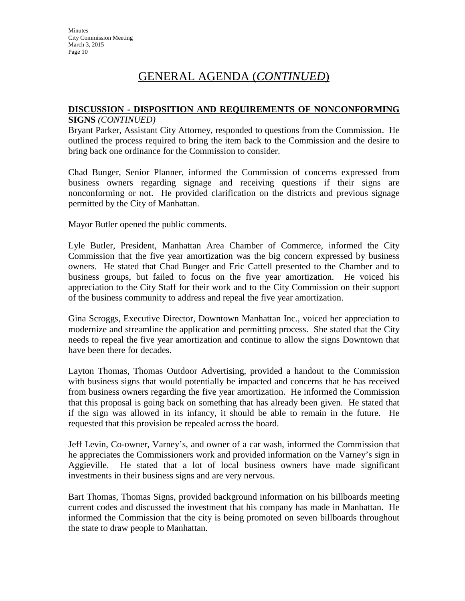### **DISCUSSION - DISPOSITION AND REQUIREMENTS OF NONCONFORMING SIGNS** *(CONTINUED)*

Bryant Parker, Assistant City Attorney, responded to questions from the Commission. He outlined the process required to bring the item back to the Commission and the desire to bring back one ordinance for the Commission to consider.

Chad Bunger, Senior Planner, informed the Commission of concerns expressed from business owners regarding signage and receiving questions if their signs are nonconforming or not. He provided clarification on the districts and previous signage permitted by the City of Manhattan.

Mayor Butler opened the public comments.

Lyle Butler, President, Manhattan Area Chamber of Commerce, informed the City Commission that the five year amortization was the big concern expressed by business owners. He stated that Chad Bunger and Eric Cattell presented to the Chamber and to business groups, but failed to focus on the five year amortization. He voiced his appreciation to the City Staff for their work and to the City Commission on their support of the business community to address and repeal the five year amortization.

Gina Scroggs, Executive Director, Downtown Manhattan Inc., voiced her appreciation to modernize and streamline the application and permitting process. She stated that the City needs to repeal the five year amortization and continue to allow the signs Downtown that have been there for decades.

Layton Thomas, Thomas Outdoor Advertising, provided a handout to the Commission with business signs that would potentially be impacted and concerns that he has received from business owners regarding the five year amortization. He informed the Commission that this proposal is going back on something that has already been given. He stated that if the sign was allowed in its infancy, it should be able to remain in the future. He requested that this provision be repealed across the board.

Jeff Levin, Co-owner, Varney's, and owner of a car wash, informed the Commission that he appreciates the Commissioners work and provided information on the Varney's sign in Aggieville. He stated that a lot of local business owners have made significant investments in their business signs and are very nervous.

Bart Thomas, Thomas Signs, provided background information on his billboards meeting current codes and discussed the investment that his company has made in Manhattan. He informed the Commission that the city is being promoted on seven billboards throughout the state to draw people to Manhattan.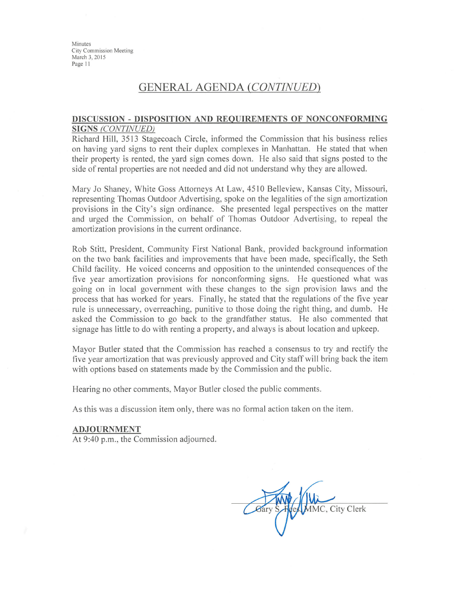Minutes City Commission Meeting March 3, 2015 Page 11

# **GENERAL AGENDA (CONTINUED)**

#### DISCUSSION - DISPOSITION AND REQUIREMENTS OF NONCONFORMING **SIGNS (CONTINUED)**

Richard Hill, 3513 Stagecoach Circle, informed the Commission that his business relies on having yard signs to rent their duplex complexes in Manhattan. He stated that when their property is rented, the yard sign comes down. He also said that signs posted to the side of rental properties are not needed and did not understand why they are allowed.

Mary Jo Shaney, White Goss Attorneys At Law, 4510 Belleview, Kansas City, Missouri, representing Thomas Outdoor Advertising, spoke on the legalities of the sign amortization provisions in the City's sign ordinance. She presented legal perspectives on the matter and urged the Commission, on behalf of Thomas Outdoor Advertising, to repeal the amortization provisions in the current ordinance.

Rob Stitt, President, Community First National Bank, provided background information on the two bank facilities and improvements that have been made, specifically, the Seth Child facility. He voiced concerns and opposition to the unintended consequences of the five year amortization provisions for nonconforming signs. He questioned what was going on in local government with these changes to the sign provision laws and the process that has worked for years. Finally, he stated that the regulations of the five year rule is unnecessary, overreaching, punitive to those doing the right thing, and dumb. He asked the Commission to go back to the grandfather status. He also commented that signage has little to do with renting a property, and always is about location and upkeep.

Mayor Butler stated that the Commission has reached a consensus to try and rectify the five year amortization that was previously approved and City staff will bring back the item with options based on statements made by the Commission and the public.

Hearing no other comments, Mayor Butler closed the public comments.

As this was a discussion item only, there was no formal action taken on the item.

#### **ADJOURNMENT**

At 9:40 p.m., the Commission adjourned.

MMC, City Clerk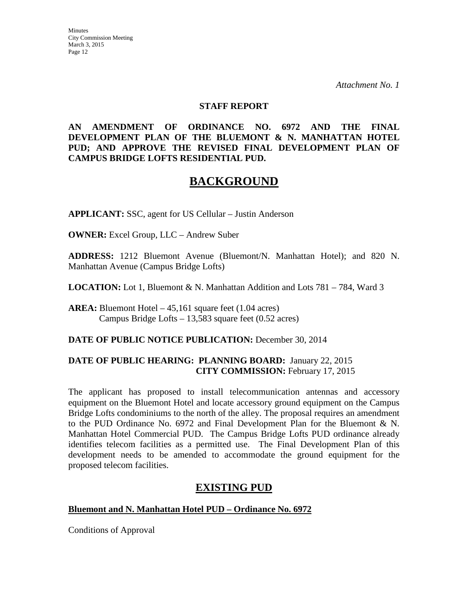**Minutes** City Commission Meeting March 3, 2015 Page 12

*Attachment No. 1*

### **STAFF REPORT**

**AN AMENDMENT OF ORDINANCE NO. 6972 AND THE FINAL DEVELOPMENT PLAN OF THE BLUEMONT & N. MANHATTAN HOTEL PUD; AND APPROVE THE REVISED FINAL DEVELOPMENT PLAN OF CAMPUS BRIDGE LOFTS RESIDENTIAL PUD.**

# **BACKGROUND**

**APPLICANT:** SSC, agent for US Cellular – Justin Anderson

**OWNER:** Excel Group, LLC – Andrew Suber

**ADDRESS:** 1212 Bluemont Avenue (Bluemont/N. Manhattan Hotel); and 820 N. Manhattan Avenue (Campus Bridge Lofts)

**LOCATION:** Lot 1, Bluemont & N. Manhattan Addition and Lots 781 – 784, Ward 3

**AREA:** Bluemont Hotel – 45,161 square feet (1.04 acres) Campus Bridge Lofts – 13,583 square feet (0.52 acres)

### **DATE OF PUBLIC NOTICE PUBLICATION:** December 30, 2014

### **DATE OF PUBLIC HEARING: PLANNING BOARD:** January 22, 2015 **CITY COMMISSION:** February 17, 2015

The applicant has proposed to install telecommunication antennas and accessory equipment on the Bluemont Hotel and locate accessory ground equipment on the Campus Bridge Lofts condominiums to the north of the alley. The proposal requires an amendment to the PUD Ordinance No. 6972 and Final Development Plan for the Bluemont & N. Manhattan Hotel Commercial PUD. The Campus Bridge Lofts PUD ordinance already identifies telecom facilities as a permitted use. The Final Development Plan of this development needs to be amended to accommodate the ground equipment for the proposed telecom facilities.

# **EXISTING PUD**

### **Bluemont and N. Manhattan Hotel PUD – Ordinance No. 6972**

Conditions of Approval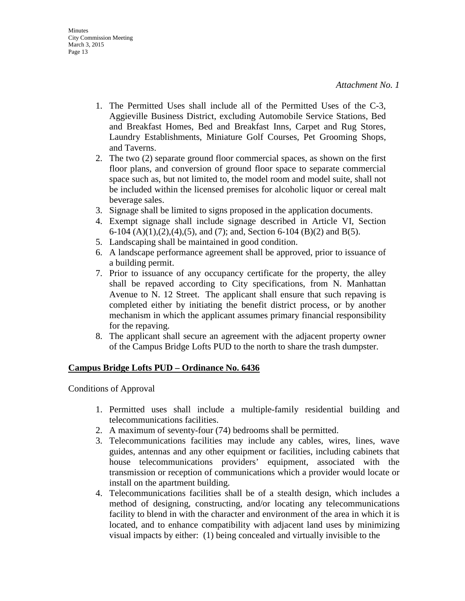- 1. The Permitted Uses shall include all of the Permitted Uses of the C-3, Aggieville Business District, excluding Automobile Service Stations, Bed and Breakfast Homes, Bed and Breakfast Inns, Carpet and Rug Stores, Laundry Establishments, Miniature Golf Courses, Pet Grooming Shops, and Taverns.
- 2. The two (2) separate ground floor commercial spaces, as shown on the first floor plans, and conversion of ground floor space to separate commercial space such as, but not limited to, the model room and model suite, shall not be included within the licensed premises for alcoholic liquor or cereal malt beverage sales.
- 3. Signage shall be limited to signs proposed in the application documents.
- 4. Exempt signage shall include signage described in Article VI, Section 6-104 (A)(1),(2),(4),(5), and (7); and, Section 6-104 (B)(2) and B(5).
- 5. Landscaping shall be maintained in good condition.
- 6. A landscape performance agreement shall be approved, prior to issuance of a building permit.
- 7. Prior to issuance of any occupancy certificate for the property, the alley shall be repaved according to City specifications, from N. Manhattan Avenue to N. 12 Street. The applicant shall ensure that such repaving is completed either by initiating the benefit district process, or by another mechanism in which the applicant assumes primary financial responsibility for the repaving.
- 8. The applicant shall secure an agreement with the adjacent property owner of the Campus Bridge Lofts PUD to the north to share the trash dumpster.

### **Campus Bridge Lofts PUD – Ordinance No. 6436**

Conditions of Approval

- 1. Permitted uses shall include a multiple-family residential building and telecommunications facilities.
- 2. A maximum of seventy-four (74) bedrooms shall be permitted.
- 3. Telecommunications facilities may include any cables, wires, lines, wave guides, antennas and any other equipment or facilities, including cabinets that house telecommunications providers' equipment, associated with the transmission or reception of communications which a provider would locate or install on the apartment building.
- 4. Telecommunications facilities shall be of a stealth design, which includes a method of designing, constructing, and/or locating any telecommunications facility to blend in with the character and environment of the area in which it is located, and to enhance compatibility with adjacent land uses by minimizing visual impacts by either: (1) being concealed and virtually invisible to the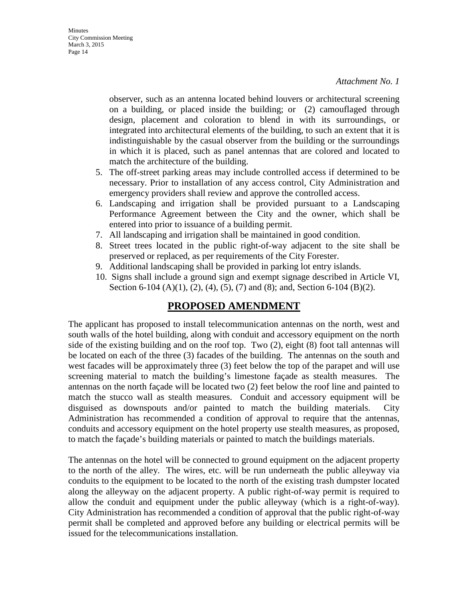observer, such as an antenna located behind louvers or architectural screening on a building, or placed inside the building; or (2) camouflaged through design, placement and coloration to blend in with its surroundings, or integrated into architectural elements of the building, to such an extent that it is indistinguishable by the casual observer from the building or the surroundings in which it is placed, such as panel antennas that are colored and located to match the architecture of the building.

- 5. The off-street parking areas may include controlled access if determined to be necessary. Prior to installation of any access control, City Administration and emergency providers shall review and approve the controlled access.
- 6. Landscaping and irrigation shall be provided pursuant to a Landscaping Performance Agreement between the City and the owner, which shall be entered into prior to issuance of a building permit.
- 7. All landscaping and irrigation shall be maintained in good condition.
- 8. Street trees located in the public right-of-way adjacent to the site shall be preserved or replaced, as per requirements of the City Forester.
- 9. Additional landscaping shall be provided in parking lot entry islands.
- 10. Signs shall include a ground sign and exempt signage described in Article VI, Section 6-104 (A)(1), (2), (4), (5), (7) and (8); and, Section 6-104 (B)(2).

# **PROPOSED AMENDMENT**

The applicant has proposed to install telecommunication antennas on the north, west and south walls of the hotel building, along with conduit and accessory equipment on the north side of the existing building and on the roof top. Two (2), eight (8) foot tall antennas will be located on each of the three (3) facades of the building. The antennas on the south and west facades will be approximately three (3) feet below the top of the parapet and will use screening material to match the building's limestone façade as stealth measures. The antennas on the north façade will be located two (2) feet below the roof line and painted to match the stucco wall as stealth measures. Conduit and accessory equipment will be disguised as downspouts and/or painted to match the building materials. City Administration has recommended a condition of approval to require that the antennas, conduits and accessory equipment on the hotel property use stealth measures, as proposed, to match the façade's building materials or painted to match the buildings materials.

The antennas on the hotel will be connected to ground equipment on the adjacent property to the north of the alley. The wires, etc. will be run underneath the public alleyway via conduits to the equipment to be located to the north of the existing trash dumpster located along the alleyway on the adjacent property. A public right-of-way permit is required to allow the conduit and equipment under the public alleyway (which is a right-of-way). City Administration has recommended a condition of approval that the public right-of-way permit shall be completed and approved before any building or electrical permits will be issued for the telecommunications installation.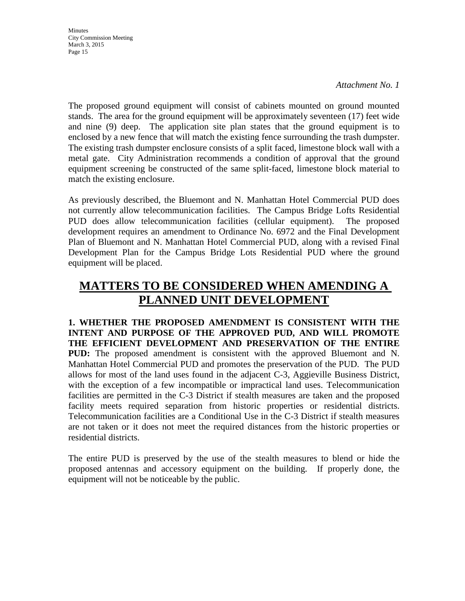**Minutes** City Commission Meeting March 3, 2015 Page 15

*Attachment No. 1*

The proposed ground equipment will consist of cabinets mounted on ground mounted stands. The area for the ground equipment will be approximately seventeen (17) feet wide and nine (9) deep. The application site plan states that the ground equipment is to enclosed by a new fence that will match the existing fence surrounding the trash dumpster. The existing trash dumpster enclosure consists of a split faced, limestone block wall with a metal gate. City Administration recommends a condition of approval that the ground equipment screening be constructed of the same split-faced, limestone block material to match the existing enclosure.

As previously described, the Bluemont and N. Manhattan Hotel Commercial PUD does not currently allow telecommunication facilities. The Campus Bridge Lofts Residential PUD does allow telecommunication facilities (cellular equipment). The proposed development requires an amendment to Ordinance No. 6972 and the Final Development Plan of Bluemont and N. Manhattan Hotel Commercial PUD, along with a revised Final Development Plan for the Campus Bridge Lots Residential PUD where the ground equipment will be placed.

# **MATTERS TO BE CONSIDERED WHEN AMENDING A PLANNED UNIT DEVELOPMENT**

**1. WHETHER THE PROPOSED AMENDMENT IS CONSISTENT WITH THE INTENT AND PURPOSE OF THE APPROVED PUD, AND WILL PROMOTE THE EFFICIENT DEVELOPMENT AND PRESERVATION OF THE ENTIRE PUD:** The proposed amendment is consistent with the approved Bluemont and N. Manhattan Hotel Commercial PUD and promotes the preservation of the PUD. The PUD allows for most of the land uses found in the adjacent C-3, Aggieville Business District, with the exception of a few incompatible or impractical land uses. Telecommunication facilities are permitted in the C-3 District if stealth measures are taken and the proposed facility meets required separation from historic properties or residential districts. Telecommunication facilities are a Conditional Use in the C-3 District if stealth measures are not taken or it does not meet the required distances from the historic properties or residential districts.

The entire PUD is preserved by the use of the stealth measures to blend or hide the proposed antennas and accessory equipment on the building. If properly done, the equipment will not be noticeable by the public.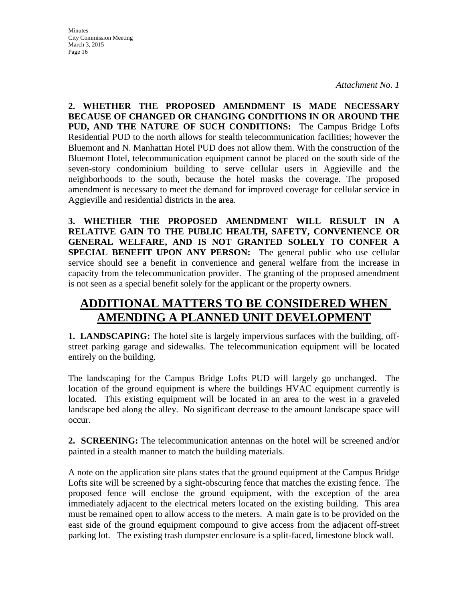City Commission Meeting March 3, 2015 Page 16

**Minutes** 

*Attachment No. 1*

**2. WHETHER THE PROPOSED AMENDMENT IS MADE NECESSARY BECAUSE OF CHANGED OR CHANGING CONDITIONS IN OR AROUND THE PUD, AND THE NATURE OF SUCH CONDITIONS:** The Campus Bridge Lofts Residential PUD to the north allows for stealth telecommunication facilities; however the Bluemont and N. Manhattan Hotel PUD does not allow them. With the construction of the Bluemont Hotel, telecommunication equipment cannot be placed on the south side of the seven-story condominium building to serve cellular users in Aggieville and the neighborhoods to the south, because the hotel masks the coverage. The proposed amendment is necessary to meet the demand for improved coverage for cellular service in Aggieville and residential districts in the area.

**3. WHETHER THE PROPOSED AMENDMENT WILL RESULT IN A RELATIVE GAIN TO THE PUBLIC HEALTH, SAFETY, CONVENIENCE OR GENERAL WELFARE, AND IS NOT GRANTED SOLELY TO CONFER A SPECIAL BENEFIT UPON ANY PERSON:** The general public who use cellular service should see a benefit in convenience and general welfare from the increase in capacity from the telecommunication provider. The granting of the proposed amendment is not seen as a special benefit solely for the applicant or the property owners.

# **ADDITIONAL MATTERS TO BE CONSIDERED WHEN AMENDING A PLANNED UNIT DEVELOPMENT**

**1. LANDSCAPING:** The hotel site is largely impervious surfaces with the building, offstreet parking garage and sidewalks. The telecommunication equipment will be located entirely on the building.

The landscaping for the Campus Bridge Lofts PUD will largely go unchanged. The location of the ground equipment is where the buildings HVAC equipment currently is located. This existing equipment will be located in an area to the west in a graveled landscape bed along the alley. No significant decrease to the amount landscape space will occur.

**2. SCREENING:** The telecommunication antennas on the hotel will be screened and/or painted in a stealth manner to match the building materials.

A note on the application site plans states that the ground equipment at the Campus Bridge Lofts site will be screened by a sight-obscuring fence that matches the existing fence. The proposed fence will enclose the ground equipment, with the exception of the area immediately adjacent to the electrical meters located on the existing building. This area must be remained open to allow access to the meters. A main gate is to be provided on the east side of the ground equipment compound to give access from the adjacent off-street parking lot. The existing trash dumpster enclosure is a split-faced, limestone block wall.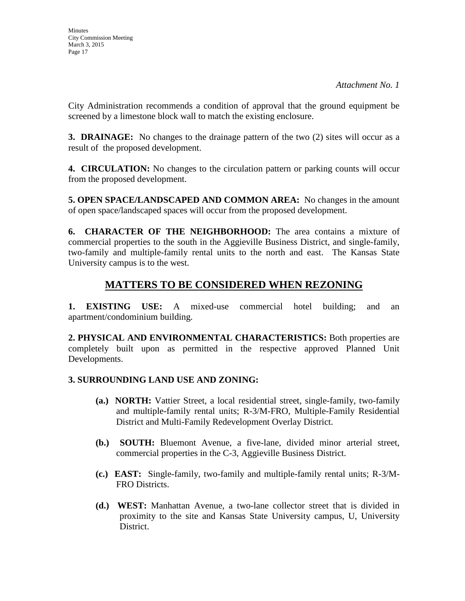City Administration recommends a condition of approval that the ground equipment be screened by a limestone block wall to match the existing enclosure.

**3. DRAINAGE:** No changes to the drainage pattern of the two (2) sites will occur as a result of the proposed development.

**4. CIRCULATION:** No changes to the circulation pattern or parking counts will occur from the proposed development.

**5. OPEN SPACE/LANDSCAPED AND COMMON AREA:** No changes in the amount of open space/landscaped spaces will occur from the proposed development.

**6. CHARACTER OF THE NEIGHBORHOOD:** The area contains a mixture of commercial properties to the south in the Aggieville Business District, and single-family, two-family and multiple-family rental units to the north and east. The Kansas State University campus is to the west.

# **MATTERS TO BE CONSIDERED WHEN REZONING**

**1. EXISTING USE:** A mixed-use commercial hotel building; and an apartment/condominium building.

**2. PHYSICAL AND ENVIRONMENTAL CHARACTERISTICS:** Both properties are completely built upon as permitted in the respective approved Planned Unit Developments.

# **3. SURROUNDING LAND USE AND ZONING:**

- **(a.) NORTH:** Vattier Street, a local residential street, single-family, two-family and multiple-family rental units; R-3/M-FRO, Multiple-Family Residential District and Multi-Family Redevelopment Overlay District.
- **(b.) SOUTH:** Bluemont Avenue, a five-lane, divided minor arterial street, commercial properties in the C-3, Aggieville Business District.
- **(c.) EAST:** Single-family, two-family and multiple-family rental units; R-3/M-FRO Districts.
- **(d.) WEST:** Manhattan Avenue, a two-lane collector street that is divided in proximity to the site and Kansas State University campus, U, University District.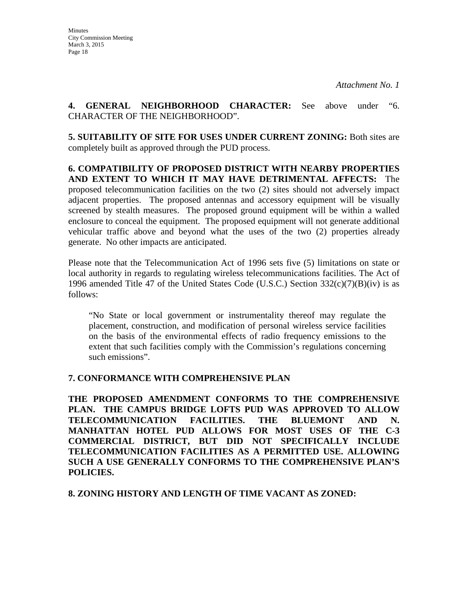**4. GENERAL NEIGHBORHOOD CHARACTER:** See above under "6. CHARACTER OF THE NEIGHBORHOOD".

**5. SUITABILITY OF SITE FOR USES UNDER CURRENT ZONING:** Both sites are completely built as approved through the PUD process.

**6. COMPATIBILITY OF PROPOSED DISTRICT WITH NEARBY PROPERTIES AND EXTENT TO WHICH IT MAY HAVE DETRIMENTAL AFFECTS:** The proposed telecommunication facilities on the two (2) sites should not adversely impact adjacent properties. The proposed antennas and accessory equipment will be visually screened by stealth measures. The proposed ground equipment will be within a walled enclosure to conceal the equipment. The proposed equipment will not generate additional vehicular traffic above and beyond what the uses of the two (2) properties already generate. No other impacts are anticipated.

Please note that the Telecommunication Act of 1996 sets five (5) limitations on state or local authority in regards to regulating wireless telecommunications facilities. The Act of 1996 amended Title 47 of the United States Code (U.S.C.) Section  $332(c)(7)(B)(iv)$  is as follows:

"No State or local government or instrumentality thereof may regulate the placement, construction, and modification of personal wireless service facilities on the basis of the environmental effects of radio frequency emissions to the extent that such facilities comply with the Commission's regulations concerning such emissions".

# **7. CONFORMANCE WITH COMPREHENSIVE PLAN**

**THE PROPOSED AMENDMENT CONFORMS TO THE COMPREHENSIVE PLAN. THE CAMPUS BRIDGE LOFTS PUD WAS APPROVED TO ALLOW TELECOMMUNICATION FACILITIES. THE BLUEMONT AND N. MANHATTAN HOTEL PUD ALLOWS FOR MOST USES OF THE C-3 COMMERCIAL DISTRICT, BUT DID NOT SPECIFICALLY INCLUDE TELECOMMUNICATION FACILITIES AS A PERMITTED USE. ALLOWING SUCH A USE GENERALLY CONFORMS TO THE COMPREHENSIVE PLAN'S POLICIES.**

**8. ZONING HISTORY AND LENGTH OF TIME VACANT AS ZONED:**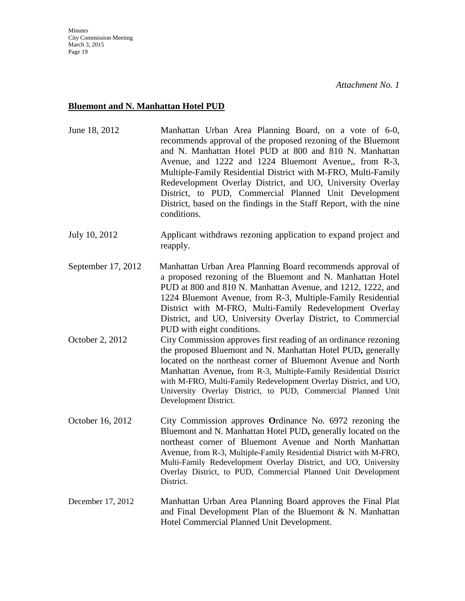# **Bluemont and N. Manhattan Hotel PUD**

| June 18, 2012      | Manhattan Urban Area Planning Board, on a vote of 6-0,<br>recommends approval of the proposed rezoning of the Bluemont<br>and N. Manhattan Hotel PUD at 800 and 810 N. Manhattan<br>Avenue, and 1222 and 1224 Bluemont Avenue,, from R-3,<br>Multiple-Family Residential District with M-FRO, Multi-Family<br>Redevelopment Overlay District, and UO, University Overlay<br>District, to PUD, Commercial Planned Unit Development<br>District, based on the findings in the Staff Report, with the nine<br>conditions. |
|--------------------|------------------------------------------------------------------------------------------------------------------------------------------------------------------------------------------------------------------------------------------------------------------------------------------------------------------------------------------------------------------------------------------------------------------------------------------------------------------------------------------------------------------------|
| July 10, 2012      | Applicant withdraws rezoning application to expand project and<br>reapply.                                                                                                                                                                                                                                                                                                                                                                                                                                             |
| September 17, 2012 | Manhattan Urban Area Planning Board recommends approval of<br>a proposed rezoning of the Bluemont and N. Manhattan Hotel<br>PUD at 800 and 810 N. Manhattan Avenue, and 1212, 1222, and<br>1224 Bluemont Avenue, from R-3, Multiple-Family Residential<br>District with M-FRO, Multi-Family Redevelopment Overlay<br>District, and UO, University Overlay District, to Commercial<br>PUD with eight conditions.                                                                                                        |
| October 2, 2012    | City Commission approves first reading of an ordinance rezoning<br>the proposed Bluemont and N. Manhattan Hotel PUD, generally<br>located on the northeast corner of Bluemont Avenue and North<br>Manhattan Avenue, from R-3, Multiple-Family Residential District<br>with M-FRO, Multi-Family Redevelopment Overlay District, and UO,<br>University Overlay District, to PUD, Commercial Planned Unit<br>Development District.                                                                                        |
| October 16, 2012   | City Commission approves Ordinance No. 6972 rezoning the<br>Bluemont and N. Manhattan Hotel PUD, generally located on the<br>northeast corner of Bluemont Avenue and North Manhattan<br>Avenue, from R-3, Multiple-Family Residential District with M-FRO,<br>Multi-Family Redevelopment Overlay District, and UO, University<br>Overlay District, to PUD, Commercial Planned Unit Development<br>District.                                                                                                            |
| December 17, 2012  | Manhattan Urban Area Planning Board approves the Final Plat<br>and Final Development Plan of the Bluemont $\& N.$ Manhattan<br>Hotel Commercial Planned Unit Development.                                                                                                                                                                                                                                                                                                                                              |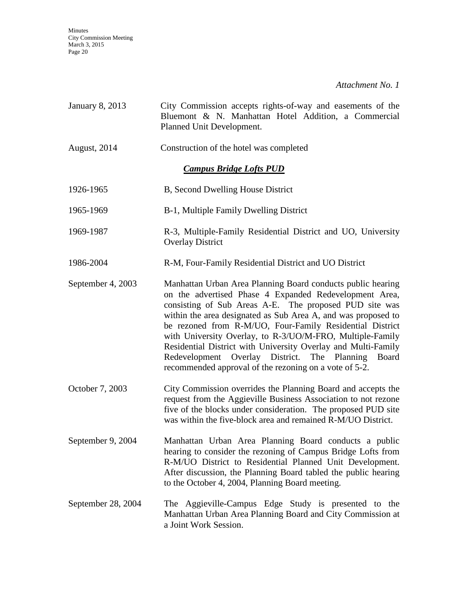Minutes City Commission Meeting March 3, 2015 Page 20

*Attachment No. 1*

| <b>January 8, 2013</b>         | City Commission accepts rights-of-way and easements of the<br>Bluemont & N. Manhattan Hotel Addition, a Commercial<br>Planned Unit Development.                                                                                                                                                                                                                                                                                                                                                                                                               |  |
|--------------------------------|---------------------------------------------------------------------------------------------------------------------------------------------------------------------------------------------------------------------------------------------------------------------------------------------------------------------------------------------------------------------------------------------------------------------------------------------------------------------------------------------------------------------------------------------------------------|--|
| August, 2014                   | Construction of the hotel was completed                                                                                                                                                                                                                                                                                                                                                                                                                                                                                                                       |  |
| <b>Campus Bridge Lofts PUD</b> |                                                                                                                                                                                                                                                                                                                                                                                                                                                                                                                                                               |  |
| 1926-1965                      | B, Second Dwelling House District                                                                                                                                                                                                                                                                                                                                                                                                                                                                                                                             |  |
| 1965-1969                      | B-1, Multiple Family Dwelling District                                                                                                                                                                                                                                                                                                                                                                                                                                                                                                                        |  |
| 1969-1987                      | R-3, Multiple-Family Residential District and UO, University<br><b>Overlay District</b>                                                                                                                                                                                                                                                                                                                                                                                                                                                                       |  |
| 1986-2004                      | R-M, Four-Family Residential District and UO District                                                                                                                                                                                                                                                                                                                                                                                                                                                                                                         |  |
| September 4, 2003              | Manhattan Urban Area Planning Board conducts public hearing<br>on the advertised Phase 4 Expanded Redevelopment Area,<br>consisting of Sub Areas A-E. The proposed PUD site was<br>within the area designated as Sub Area A, and was proposed to<br>be rezoned from R-M/UO, Four-Family Residential District<br>with University Overlay, to R-3/UO/M-FRO, Multiple-Family<br>Residential District with University Overlay and Multi-Family<br>Redevelopment Overlay District. The Planning<br>Board<br>recommended approval of the rezoning on a vote of 5-2. |  |
| October 7, 2003                | City Commission overrides the Planning Board and accepts the<br>request from the Aggieville Business Association to not rezone<br>five of the blocks under consideration. The proposed PUD site<br>was within the five-block area and remained R-M/UO District.                                                                                                                                                                                                                                                                                               |  |
| September 9, 2004              | Manhattan Urban Area Planning Board conducts a public<br>hearing to consider the rezoning of Campus Bridge Lofts from<br>R-M/UO District to Residential Planned Unit Development.<br>After discussion, the Planning Board tabled the public hearing<br>to the October 4, 2004, Planning Board meeting.                                                                                                                                                                                                                                                        |  |
| September 28, 2004             | The Aggieville-Campus Edge Study is presented to the<br>Manhattan Urban Area Planning Board and City Commission at<br>a Joint Work Session.                                                                                                                                                                                                                                                                                                                                                                                                                   |  |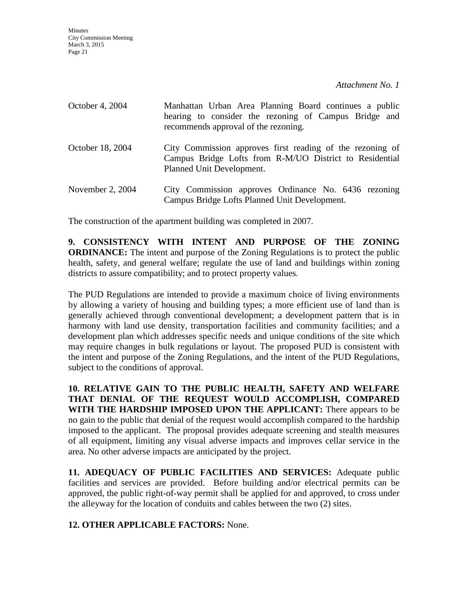| October 4, 2004  | Manhattan Urban Area Planning Board continues a public<br>hearing to consider the rezoning of Campus Bridge and<br>recommends approval of the rezoning. |
|------------------|---------------------------------------------------------------------------------------------------------------------------------------------------------|
| October 18, 2004 | City Commission approves first reading of the rezoning of<br>Campus Bridge Lofts from R-M/UO District to Residential<br>Planned Unit Development.       |
| November 2, 2004 | City Commission approves Ordinance No. 6436 rezoning<br>Campus Bridge Lofts Planned Unit Development.                                                   |

The construction of the apartment building was completed in 2007.

**9. CONSISTENCY WITH INTENT AND PURPOSE OF THE ZONING ORDINANCE:** The intent and purpose of the Zoning Regulations is to protect the public health, safety, and general welfare; regulate the use of land and buildings within zoning districts to assure compatibility; and to protect property values.

The PUD Regulations are intended to provide a maximum choice of living environments by allowing a variety of housing and building types; a more efficient use of land than is generally achieved through conventional development; a development pattern that is in harmony with land use density, transportation facilities and community facilities; and a development plan which addresses specific needs and unique conditions of the site which may require changes in bulk regulations or layout. The proposed PUD is consistent with the intent and purpose of the Zoning Regulations, and the intent of the PUD Regulations, subject to the conditions of approval.

**10. RELATIVE GAIN TO THE PUBLIC HEALTH, SAFETY AND WELFARE THAT DENIAL OF THE REQUEST WOULD ACCOMPLISH, COMPARED WITH THE HARDSHIP IMPOSED UPON THE APPLICANT:** There appears to be no gain to the public that denial of the request would accomplish compared to the hardship imposed to the applicant. The proposal provides adequate screening and stealth measures of all equipment, limiting any visual adverse impacts and improves cellar service in the area. No other adverse impacts are anticipated by the project.

**11. ADEQUACY OF PUBLIC FACILITIES AND SERVICES:** Adequate public facilities and services are provided. Before building and/or electrical permits can be approved, the public right-of-way permit shall be applied for and approved, to cross under the alleyway for the location of conduits and cables between the two (2) sites.

**12. OTHER APPLICABLE FACTORS:** None.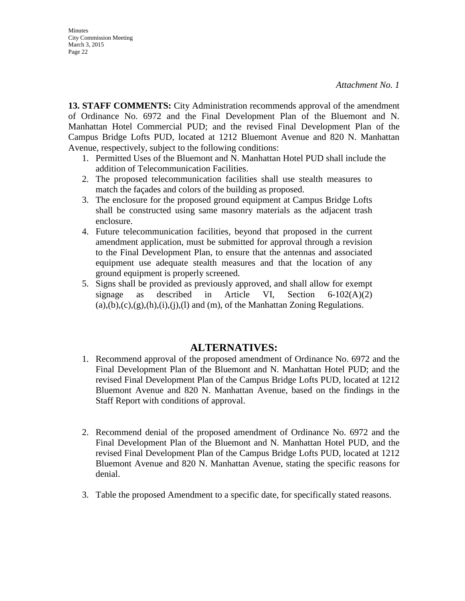**13. STAFF COMMENTS:** City Administration recommends approval of the amendment of Ordinance No. 6972 and the Final Development Plan of the Bluemont and N. Manhattan Hotel Commercial PUD; and the revised Final Development Plan of the Campus Bridge Lofts PUD, located at 1212 Bluemont Avenue and 820 N. Manhattan Avenue, respectively, subject to the following conditions:

- 1. Permitted Uses of the Bluemont and N. Manhattan Hotel PUD shall include the addition of Telecommunication Facilities.
- 2. The proposed telecommunication facilities shall use stealth measures to match the façades and colors of the building as proposed.
- 3. The enclosure for the proposed ground equipment at Campus Bridge Lofts shall be constructed using same masonry materials as the adjacent trash enclosure.
- 4. Future telecommunication facilities, beyond that proposed in the current amendment application, must be submitted for approval through a revision to the Final Development Plan, to ensure that the antennas and associated equipment use adequate stealth measures and that the location of any ground equipment is properly screened.
- 5. Signs shall be provided as previously approved, and shall allow for exempt signage as described in Article VI, Section 6-102(A)(2)  $(a), (b), (c), (g), (h), (i), (i), (l)$  and  $(m),$  of the Manhattan Zoning Regulations.

# **ALTERNATIVES:**

- 1. Recommend approval of the proposed amendment of Ordinance No. 6972 and the Final Development Plan of the Bluemont and N. Manhattan Hotel PUD; and the revised Final Development Plan of the Campus Bridge Lofts PUD, located at 1212 Bluemont Avenue and 820 N. Manhattan Avenue, based on the findings in the Staff Report with conditions of approval.
- 2. Recommend denial of the proposed amendment of Ordinance No. 6972 and the Final Development Plan of the Bluemont and N. Manhattan Hotel PUD, and the revised Final Development Plan of the Campus Bridge Lofts PUD, located at 1212 Bluemont Avenue and 820 N. Manhattan Avenue, stating the specific reasons for denial.
- 3. Table the proposed Amendment to a specific date, for specifically stated reasons.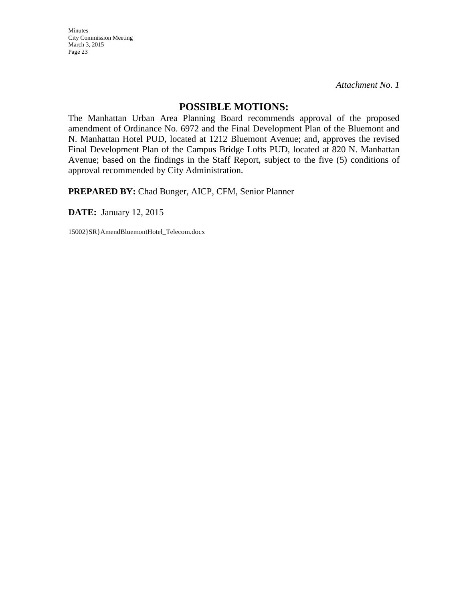Minutes City Commission Meeting March 3, 2015 Page 23

*Attachment No. 1*

### **POSSIBLE MOTIONS:**

The Manhattan Urban Area Planning Board recommends approval of the proposed amendment of Ordinance No. 6972 and the Final Development Plan of the Bluemont and N. Manhattan Hotel PUD, located at 1212 Bluemont Avenue; and, approves the revised Final Development Plan of the Campus Bridge Lofts PUD, located at 820 N. Manhattan Avenue; based on the findings in the Staff Report, subject to the five (5) conditions of approval recommended by City Administration.

**PREPARED BY:** Chad Bunger, AICP, CFM, Senior Planner

**DATE:** January 12, 2015

15002}SR}AmendBluemontHotel\_Telecom.docx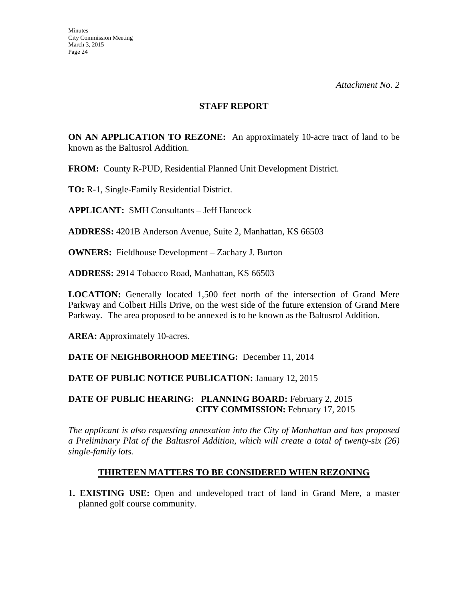### **STAFF REPORT**

**ON AN APPLICATION TO REZONE:** An approximately 10-acre tract of land to be known as the Baltusrol Addition.

**FROM:** County R-PUD, Residential Planned Unit Development District.

**TO:** R-1, Single-Family Residential District.

**APPLICANT:** SMH Consultants – Jeff Hancock

**ADDRESS:** 4201B Anderson Avenue, Suite 2, Manhattan, KS 66503

**OWNERS:** Fieldhouse Development – Zachary J. Burton

**ADDRESS:** 2914 Tobacco Road, Manhattan, KS 66503

**LOCATION:** Generally located 1,500 feet north of the intersection of Grand Mere Parkway and Colbert Hills Drive, on the west side of the future extension of Grand Mere Parkway. The area proposed to be annexed is to be known as the Baltusrol Addition.

**AREA: A**pproximately 10-acres.

**DATE OF NEIGHBORHOOD MEETING:** December 11, 2014

# **DATE OF PUBLIC NOTICE PUBLICATION: January 12, 2015**

# **DATE OF PUBLIC HEARING: PLANNING BOARD:** February 2, 2015 **CITY COMMISSION:** February 17, 2015

*The applicant is also requesting annexation into the City of Manhattan and has proposed a Preliminary Plat of the Baltusrol Addition*, *which will create a total of twenty-six (26) single-family lots.*

# **THIRTEEN MATTERS TO BE CONSIDERED WHEN REZONING**

**1. EXISTING USE:** Open and undeveloped tract of land in Grand Mere, a master planned golf course community.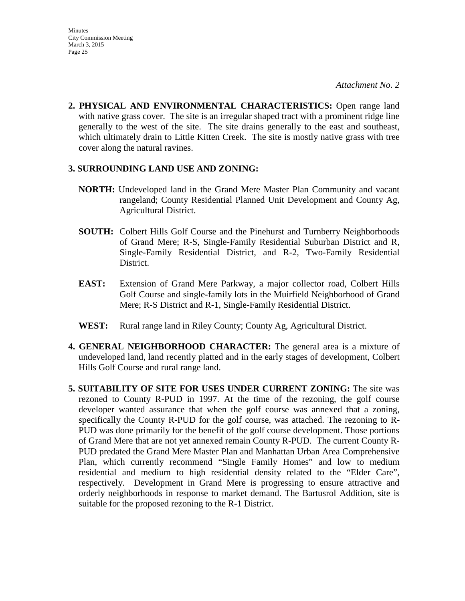**2. PHYSICAL AND ENVIRONMENTAL CHARACTERISTICS:** Open range land with native grass cover. The site is an irregular shaped tract with a prominent ridge line generally to the west of the site. The site drains generally to the east and southeast, which ultimately drain to Little Kitten Creek. The site is mostly native grass with tree cover along the natural ravines.

### **3. SURROUNDING LAND USE AND ZONING:**

- **NORTH:** Undeveloped land in the Grand Mere Master Plan Community and vacant rangeland; County Residential Planned Unit Development and County Ag, Agricultural District.
- **SOUTH:** Colbert Hills Golf Course and the Pinehurst and Turnberry Neighborhoods of Grand Mere; R-S, Single-Family Residential Suburban District and R, Single-Family Residential District, and R-2, Two-Family Residential District.
- **EAST:** Extension of Grand Mere Parkway, a major collector road, Colbert Hills Golf Course and single-family lots in the Muirfield Neighborhood of Grand Mere; R-S District and R-1, Single-Family Residential District.
- **WEST:** Rural range land in Riley County; County Ag, Agricultural District.
- **4. GENERAL NEIGHBORHOOD CHARACTER:** The general area is a mixture of undeveloped land, land recently platted and in the early stages of development, Colbert Hills Golf Course and rural range land.
- **5. SUITABILITY OF SITE FOR USES UNDER CURRENT ZONING:** The site was rezoned to County R-PUD in 1997. At the time of the rezoning, the golf course developer wanted assurance that when the golf course was annexed that a zoning, specifically the County R-PUD for the golf course, was attached. The rezoning to R-PUD was done primarily for the benefit of the golf course development. Those portions of Grand Mere that are not yet annexed remain County R-PUD. The current County R-PUD predated the Grand Mere Master Plan and Manhattan Urban Area Comprehensive Plan, which currently recommend "Single Family Homes" and low to medium residential and medium to high residential density related to the "Elder Care", respectively. Development in Grand Mere is progressing to ensure attractive and orderly neighborhoods in response to market demand. The Bartusrol Addition, site is suitable for the proposed rezoning to the R-1 District.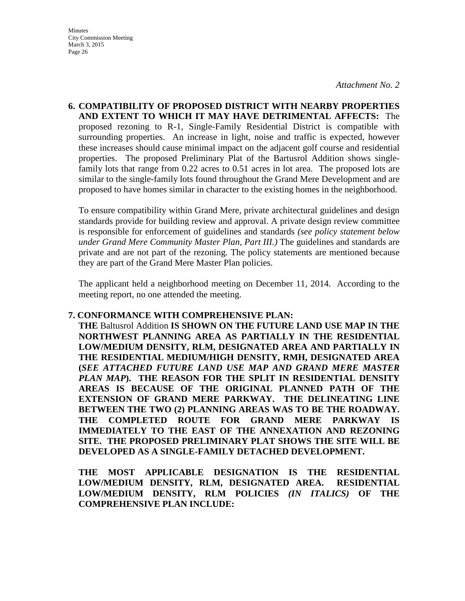**6. COMPATIBILITY OF PROPOSED DISTRICT WITH NEARBY PROPERTIES AND EXTENT TO WHICH IT MAY HAVE DETRIMENTAL AFFECTS:** The proposed rezoning to R-1, Single-Family Residential District is compatible with surrounding properties. An increase in light, noise and traffic is expected, however these increases should cause minimal impact on the adjacent golf course and residential properties. The proposed Preliminary Plat of the Bartusrol Addition shows singlefamily lots that range from 0.22 acres to 0.51 acres in lot area. The proposed lots are similar to the single-family lots found throughout the Grand Mere Development and are proposed to have homes similar in character to the existing homes in the neighborhood.

To ensure compatibility within Grand Mere, private architectural guidelines and design standards provide for building review and approval. A private design review committee is responsible for enforcement of guidelines and standards *(see policy statement below under Grand Mere Community Master Plan, Part III.)* The guidelines and standards are private and are not part of the rezoning. The policy statements are mentioned because they are part of the Grand Mere Master Plan policies.

The applicant held a neighborhood meeting on December 11, 2014. According to the meeting report, no one attended the meeting.

### **7. CONFORMANCE WITH COMPREHENSIVE PLAN:**

**THE** Baltusrol Addition **IS SHOWN ON THE FUTURE LAND USE MAP IN THE NORTHWEST PLANNING AREA AS PARTIALLY IN THE RESIDENTIAL LOW/MEDIUM DENSITY, RLM, DESIGNATED AREA AND PARTIALLY IN THE RESIDENTIAL MEDIUM/HIGH DENSITY, RMH, DESIGNATED AREA (***SEE ATTACHED FUTURE LAND USE MAP AND GRAND MERE MASTER PLAN MAP***). THE REASON FOR THE SPLIT IN RESIDENTIAL DENSITY AREAS IS BECAUSE OF THE ORIGINAL PLANNED PATH OF THE EXTENSION OF GRAND MERE PARKWAY. THE DELINEATING LINE BETWEEN THE TWO (2) PLANNING AREAS WAS TO BE THE ROADWAY. THE COMPLETED ROUTE FOR GRAND MERE PARKWAY IS IMMEDIATELY TO THE EAST OF THE ANNEXATION AND REZONING SITE. THE PROPOSED PRELIMINARY PLAT SHOWS THE SITE WILL BE DEVELOPED AS A SINGLE-FAMILY DETACHED DEVELOPMENT.** 

**THE MOST APPLICABLE DESIGNATION IS THE RESIDENTIAL LOW/MEDIUM DENSITY, RLM, DESIGNATED AREA. RESIDENTIAL LOW/MEDIUM DENSITY, RLM POLICIES** *(IN ITALICS)* **OF THE COMPREHENSIVE PLAN INCLUDE:**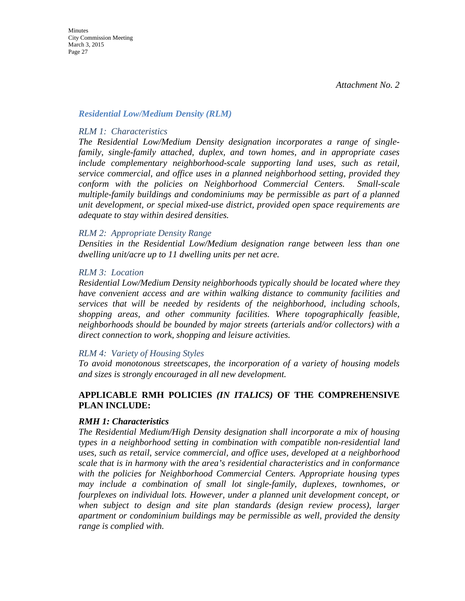### *Residential Low/Medium Density (RLM)*

### *RLM 1: Characteristics*

*The Residential Low/Medium Density designation incorporates a range of singlefamily, single-family attached, duplex, and town homes, and in appropriate cases include complementary neighborhood-scale supporting land uses, such as retail, service commercial, and office uses in a planned neighborhood setting, provided they conform with the policies on Neighborhood Commercial Centers. Small-scale multiple-family buildings and condominiums may be permissible as part of a planned unit development, or special mixed-use district, provided open space requirements are adequate to stay within desired densities.* 

### *RLM 2: Appropriate Density Range*

*Densities in the Residential Low/Medium designation range between less than one dwelling unit/acre up to 11 dwelling units per net acre.* 

### *RLM 3: Location*

*Residential Low/Medium Density neighborhoods typically should be located where they have convenient access and are within walking distance to community facilities and services that will be needed by residents of the neighborhood, including schools, shopping areas, and other community facilities. Where topographically feasible, neighborhoods should be bounded by major streets (arterials and/or collectors) with a direct connection to work, shopping and leisure activities.* 

### *RLM 4: Variety of Housing Styles*

*To avoid monotonous streetscapes, the incorporation of a variety of housing models and sizes is strongly encouraged in all new development.* 

# **APPLICABLE RMH POLICIES** *(IN ITALICS)* **OF THE COMPREHENSIVE PLAN INCLUDE:**

# *RMH 1: Characteristics*

*The Residential Medium/High Density designation shall incorporate a mix of housing types in a neighborhood setting in combination with compatible non-residential land uses, such as retail, service commercial, and office uses, developed at a neighborhood scale that is in harmony with the area's residential characteristics and in conformance with the policies for Neighborhood Commercial Centers. Appropriate housing types may include a combination of small lot single-family, duplexes, townhomes, or fourplexes on individual lots. However, under a planned unit development concept, or when subject to design and site plan standards (design review process), larger apartment or condominium buildings may be permissible as well, provided the density range is complied with.*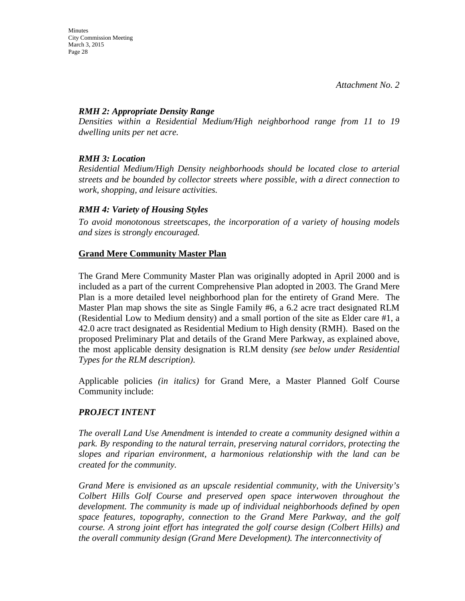# *RMH 2: Appropriate Density Range*

*Densities within a Residential Medium/High neighborhood range from 11 to 19 dwelling units per net acre.* 

# *RMH 3: Location*

*Residential Medium/High Density neighborhoods should be located close to arterial streets and be bounded by collector streets where possible, with a direct connection to work, shopping, and leisure activities.* 

# *RMH 4: Variety of Housing Styles*

*To avoid monotonous streetscapes, the incorporation of a variety of housing models and sizes is strongly encouraged.*

# **Grand Mere Community Master Plan**

The Grand Mere Community Master Plan was originally adopted in April 2000 and is included as a part of the current Comprehensive Plan adopted in 2003. The Grand Mere Plan is a more detailed level neighborhood plan for the entirety of Grand Mere. The Master Plan map shows the site as Single Family #6, a 6.2 acre tract designated RLM (Residential Low to Medium density) and a small portion of the site as Elder care #1, a 42.0 acre tract designated as Residential Medium to High density (RMH). Based on the proposed Preliminary Plat and details of the Grand Mere Parkway, as explained above, the most applicable density designation is RLM density *(see below under Residential Types for the RLM description)*.

Applicable policies *(in italics)* for Grand Mere, a Master Planned Golf Course Community include:

# *PROJECT INTENT*

*The overall Land Use Amendment is intended to create a community designed within a park. By responding to the natural terrain, preserving natural corridors, protecting the slopes and riparian environment, a harmonious relationship with the land can be created for the community.*

*Grand Mere is envisioned as an upscale residential community, with the University's Colbert Hills Golf Course and preserved open space interwoven throughout the development. The community is made up of individual neighborhoods defined by open space features, topography, connection to the Grand Mere Parkway, and the golf course. A strong joint effort has integrated the golf course design (Colbert Hills) and the overall community design (Grand Mere Development). The interconnectivity of*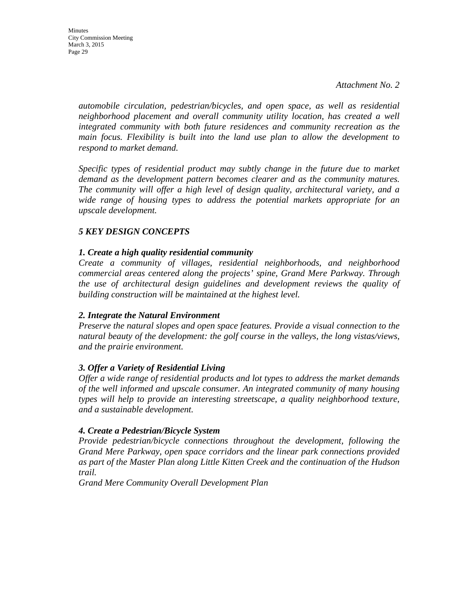**Minutes** City Commission Meeting March 3, 2015 Page 29

> *automobile circulation, pedestrian/bicycles, and open space, as well as residential neighborhood placement and overall community utility location, has created a well integrated community with both future residences and community recreation as the main focus. Flexibility is built into the land use plan to allow the development to respond to market demand.*

> *Specific types of residential product may subtly change in the future due to market demand as the development pattern becomes clearer and as the community matures. The community will offer a high level of design quality, architectural variety, and a wide range of housing types to address the potential markets appropriate for an upscale development.*

### *5 KEY DESIGN CONCEPTS*

### *1. Create a high quality residential community*

*Create a community of villages, residential neighborhoods, and neighborhood commercial areas centered along the projects' spine, Grand Mere Parkway. Through the use of architectural design guidelines and development reviews the quality of building construction will be maintained at the highest level.*

### *2. Integrate the Natural Environment*

*Preserve the natural slopes and open space features. Provide a visual connection to the natural beauty of the development: the golf course in the valleys, the long vistas/views, and the prairie environment.*

### *3. Offer a Variety of Residential Living*

*Offer a wide range of residential products and lot types to address the market demands of the well informed and upscale consumer. An integrated community of many housing types will help to provide an interesting streetscape, a quality neighborhood texture, and a sustainable development.*

### *4. Create a Pedestrian/Bicycle System*

*Provide pedestrian/bicycle connections throughout the development, following the Grand Mere Parkway, open space corridors and the linear park connections provided as part of the Master Plan along Little Kitten Creek and the continuation of the Hudson trail.*

*Grand Mere Community Overall Development Plan*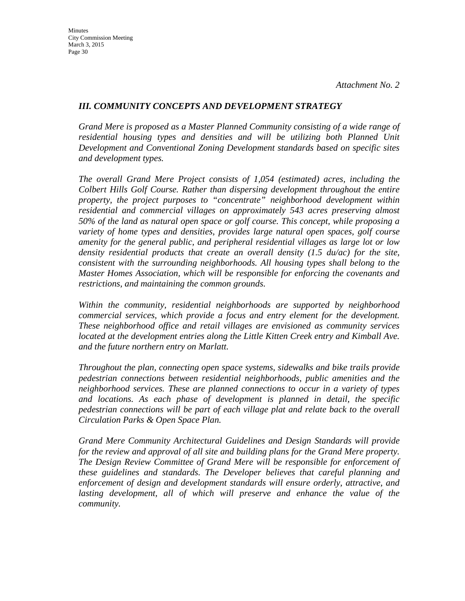### *III. COMMUNITY CONCEPTS AND DEVELOPMENT STRATEGY*

*Grand Mere is proposed as a Master Planned Community consisting of a wide range of*  residential housing types and densities and will be utilizing both Planned Unit *Development and Conventional Zoning Development standards based on specific sites and development types.*

*The overall Grand Mere Project consists of 1,054 (estimated) acres, including the Colbert Hills Golf Course. Rather than dispersing development throughout the entire property, the project purposes to "concentrate" neighborhood development within residential and commercial villages on approximately 543 acres preserving almost 50% of the land as natural open space or golf course. This concept, while proposing a variety of home types and densities, provides large natural open spaces, golf course amenity for the general public, and peripheral residential villages as large lot or low density residential products that create an overall density (1.5 du/ac) for the site, consistent with the surrounding neighborhoods. All housing types shall belong to the Master Homes Association, which will be responsible for enforcing the covenants and restrictions, and maintaining the common grounds.*

*Within the community, residential neighborhoods are supported by neighborhood commercial services, which provide a focus and entry element for the development. These neighborhood office and retail villages are envisioned as community services located at the development entries along the Little Kitten Creek entry and Kimball Ave. and the future northern entry on Marlatt.*

*Throughout the plan, connecting open space systems, sidewalks and bike trails provide pedestrian connections between residential neighborhoods, public amenities and the neighborhood services. These are planned connections to occur in a variety of types and locations. As each phase of development is planned in detail, the specific pedestrian connections will be part of each village plat and relate back to the overall Circulation Parks & Open Space Plan.*

*Grand Mere Community Architectural Guidelines and Design Standards will provide for the review and approval of all site and building plans for the Grand Mere property. The Design Review Committee of Grand Mere will be responsible for enforcement of these guidelines and standards. The Developer believes that careful planning and enforcement of design and development standards will ensure orderly, attractive, and*  lasting development, all of which will preserve and enhance the value of the *community.*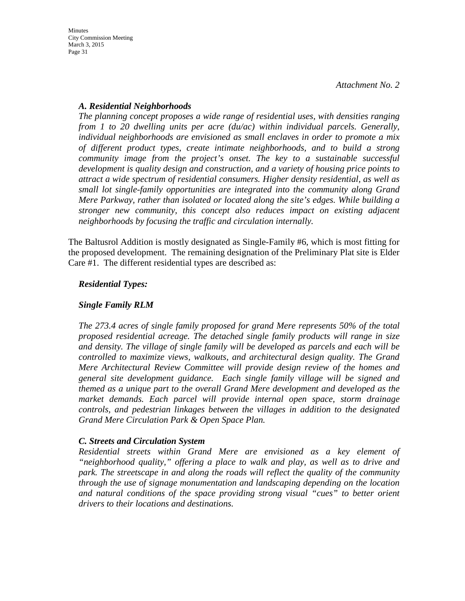# *A. Residential Neighborhoods*

*The planning concept proposes a wide range of residential uses, with densities ranging from 1 to 20 dwelling units per acre (du/ac) within individual parcels. Generally, individual neighborhoods are envisioned as small enclaves in order to promote a mix of different product types, create intimate neighborhoods, and to build a strong community image from the project's onset. The key to a sustainable successful development is quality design and construction, and a variety of housing price points to attract a wide spectrum of residential consumers. Higher density residential, as well as small lot single-family opportunities are integrated into the community along Grand Mere Parkway, rather than isolated or located along the site's edges. While building a stronger new community, this concept also reduces impact on existing adjacent neighborhoods by focusing the traffic and circulation internally.*

The Baltusrol Addition is mostly designated as Single-Family #6, which is most fitting for the proposed development. The remaining designation of the Preliminary Plat site is Elder Care #1. The different residential types are described as:

# *Residential Types:*

# *Single Family RLM*

*The 273.4 acres of single family proposed for grand Mere represents 50% of the total proposed residential acreage. The detached single family products will range in size and density. The village of single family will be developed as parcels and each will be controlled to maximize views, walkouts, and architectural design quality. The Grand Mere Architectural Review Committee will provide design review of the homes and general site development guidance. Each single family village will be signed and themed as a unique part to the overall Grand Mere development and developed as the market demands. Each parcel will provide internal open space, storm drainage controls, and pedestrian linkages between the villages in addition to the designated Grand Mere Circulation Park & Open Space Plan.*

# *C. Streets and Circulation System*

*Residential streets within Grand Mere are envisioned as a key element of "neighborhood quality," offering a place to walk and play, as well as to drive and park. The streetscape in and along the roads will reflect the quality of the community through the use of signage monumentation and landscaping depending on the location and natural conditions of the space providing strong visual "cues" to better orient drivers to their locations and destinations.*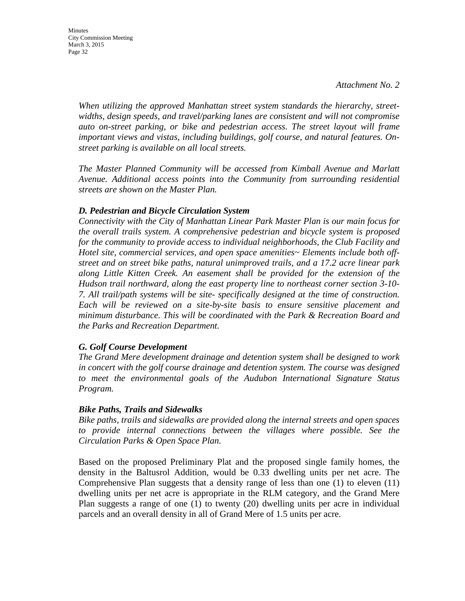*When utilizing the approved Manhattan street system standards the hierarchy, streetwidths, design speeds, and travel/parking lanes are consistent and will not compromise auto on-street parking, or bike and pedestrian access. The street layout will frame important views and vistas, including buildings, golf course, and natural features. Onstreet parking is available on all local streets.*

*The Master Planned Community will be accessed from Kimball Avenue and Marlatt Avenue. Additional access points into the Community from surrounding residential streets are shown on the Master Plan.*

### *D. Pedestrian and Bicycle Circulation System*

*Connectivity with the City of Manhattan Linear Park Master Plan is our main focus for the overall trails system. A comprehensive pedestrian and bicycle system is proposed for the community to provide access to individual neighborhoods, the Club Facility and Hotel site, commercial services, and open space amenities~ Elements include both offstreet and on street bike paths, natural unimproved trails, and a 17.2 acre linear park along Little Kitten Creek. An easement shall be provided for the extension of the Hudson trail northward, along the east property line to northeast corner section 3-10- 7. All trail/path systems will be site- specifically designed at the time of construction. Each will be reviewed on a site-by-site basis to ensure sensitive placement and minimum disturbance. This will be coordinated with the Park & Recreation Board and the Parks and Recreation Department.*

### *G. Golf Course Development*

*The Grand Mere development drainage and detention system shall be designed to work in concert with the golf course drainage and detention system. The course was designed to meet the environmental goals of the Audubon International Signature Status Program.*

### *Bike Paths, Trails and Sidewalks*

*Bike paths, trails and sidewalks are provided along the internal streets and open spaces to provide internal connections between the villages where possible. See the Circulation Parks & Open Space Plan.*

Based on the proposed Preliminary Plat and the proposed single family homes, the density in the Baltusrol Addition, would be 0.33 dwelling units per net acre. The Comprehensive Plan suggests that a density range of less than one (1) to eleven (11) dwelling units per net acre is appropriate in the RLM category, and the Grand Mere Plan suggests a range of one (1) to twenty (20) dwelling units per acre in individual parcels and an overall density in all of Grand Mere of 1.5 units per acre.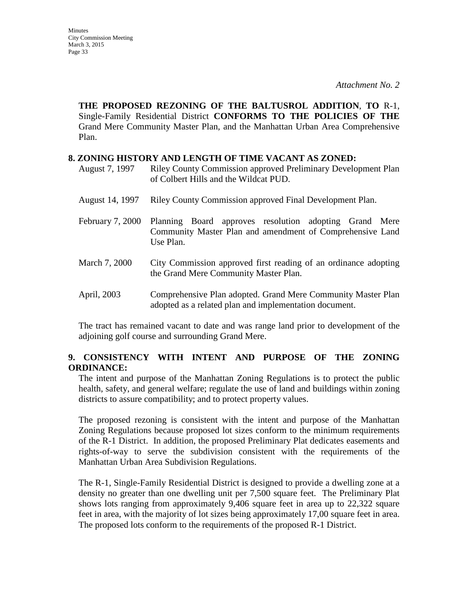**THE PROPOSED REZONING OF THE BALTUSROL ADDITION**, **TO** R-1, Single-Family Residential District **CONFORMS TO THE POLICIES OF THE**  Grand Mere Community Master Plan, and the Manhattan Urban Area Comprehensive Plan.

### **8. ZONING HISTORY AND LENGTH OF TIME VACANT AS ZONED:**

- August 7, 1997 Riley County Commission approved Preliminary Development Plan of Colbert Hills and the Wildcat PUD.
- August 14, 1997 Riley County Commission approved Final Development Plan.
- February 7, 2000 Planning Board approves resolution adopting Grand Mere Community Master Plan and amendment of Comprehensive Land Use Plan.
- March 7, 2000 City Commission approved first reading of an ordinance adopting the Grand Mere Community Master Plan.
- April, 2003 Comprehensive Plan adopted. Grand Mere Community Master Plan adopted as a related plan and implementation document.

The tract has remained vacant to date and was range land prior to development of the adjoining golf course and surrounding Grand Mere.

# **9. CONSISTENCY WITH INTENT AND PURPOSE OF THE ZONING ORDINANCE:**

The intent and purpose of the Manhattan Zoning Regulations is to protect the public health, safety, and general welfare; regulate the use of land and buildings within zoning districts to assure compatibility; and to protect property values.

The proposed rezoning is consistent with the intent and purpose of the Manhattan Zoning Regulations because proposed lot sizes conform to the minimum requirements of the R-1 District. In addition, the proposed Preliminary Plat dedicates easements and rights-of-way to serve the subdivision consistent with the requirements of the Manhattan Urban Area Subdivision Regulations.

The R-1, Single-Family Residential District is designed to provide a dwelling zone at a density no greater than one dwelling unit per 7,500 square feet. The Preliminary Plat shows lots ranging from approximately 9,406 square feet in area up to 22,322 square feet in area, with the majority of lot sizes being approximately 17,00 square feet in area. The proposed lots conform to the requirements of the proposed R-1 District.